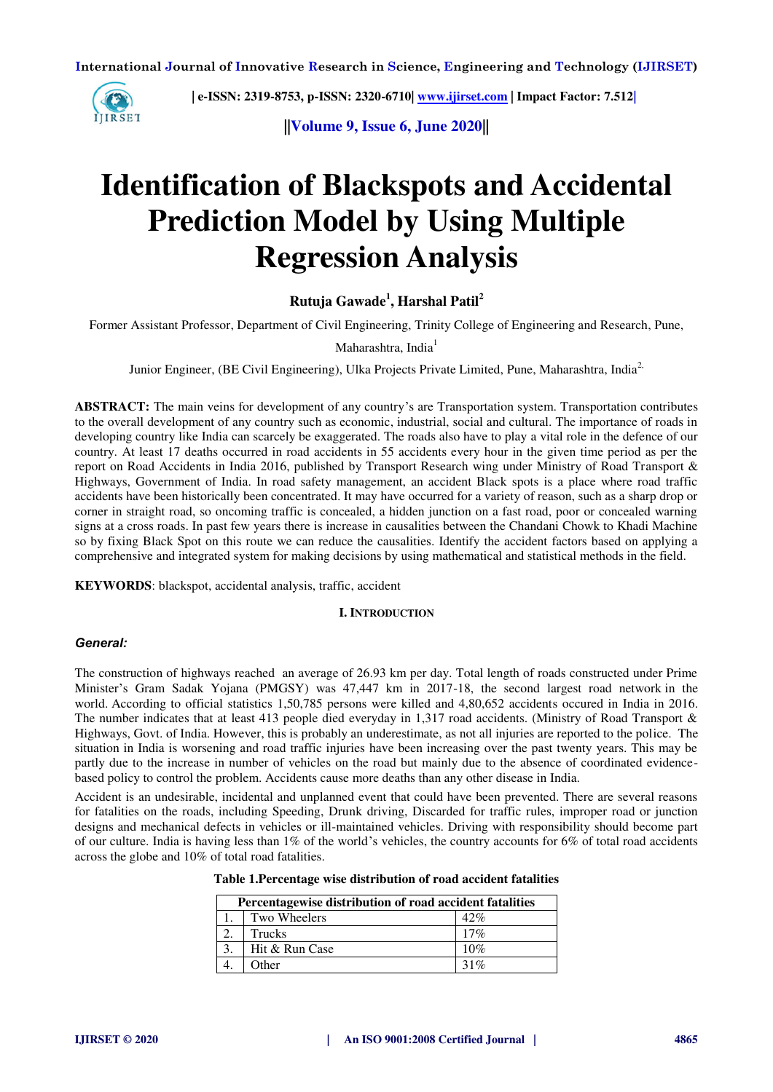

 **| e-ISSN: 2319-8753, p-ISSN: 2320-6710[| www.ijirset.com](http://www.ijirset.com/) | Impact Factor: 7.512|**

**||Volume 9, Issue 6, June 2020||** 

# **Identification of Blackspots and Accidental Prediction Model by Using Multiple Regression Analysis**

**Rutuja Gawade<sup>1</sup> , Harshal Patil<sup>2</sup>**

Former Assistant Professor, Department of Civil Engineering, Trinity College of Engineering and Research, Pune,

#### Maharashtra, India<sup>1</sup>

Junior Engineer, (BE Civil Engineering), Ulka Projects Private Limited, Pune, Maharashtra, India<sup>2,</sup>

**ABSTRACT:** The main veins for development of any country's are Transportation system. Transportation contributes to the overall development of any country such as economic, industrial, social and cultural. The importance of roads in developing country like India can scarcely be exaggerated. The roads also have to play a vital role in the defence of our country. At least 17 deaths occurred in road accidents in 55 accidents every hour in the given time period as per the report on Road Accidents in India 2016, published by Transport Research wing under Ministry of Road Transport & Highways, Government of India. In road safety management, an accident Black spots is a place where road traffic accidents have been historically been concentrated. It may have occurred for a variety of reason, such as a sharp drop or corner in straight road, so oncoming traffic is concealed, a hidden junction on a fast road, poor or concealed warning signs at a cross roads. In past few years there is increase in causalities between the Chandani Chowk to Khadi Machine so by fixing Black Spot on this route we can reduce the causalities. Identify the accident factors based on applying a comprehensive and integrated system for making decisions by using mathematical and statistical methods in the field.

**KEYWORDS**: blackspot, accidental analysis, traffic, accident

#### **I. INTRODUCTION**

#### *General:*

The construction of highways reached an average of 26.93 km per day. Total length of roads constructed under Prime Minister's Gram Sadak Yojana (PMGSY) was 47,447 km in 2017-18, [the second largest road network](https://en.wikipedia.org/wiki/List_of_countries_by_road_network_size) in the world. According to official statistics 1,50,785 persons were killed and 4,80,652 accidents occured in India in 2016. The number indicates that at least 413 people died everyday in 1,317 road accidents. (Ministry of Road Transport & Highways, Govt. of India. However, this is probably an underestimate, as not all injuries are reported to the police. The situation in India is worsening and road traffic injuries have been increasing over the past twenty years. This may be partly due to the increase in number of vehicles on the road but mainly due to the absence of coordinated evidencebased policy to control the problem. Accidents cause more deaths than any other disease in India.

Accident is an undesirable, incidental and unplanned event that could have been prevented. There are several reasons for fatalities on the roads, including Speeding, Drunk driving, Discarded for traffic rules, improper road or junction designs and mechanical defects in vehicles or ill-maintained vehicles. Driving with responsibility should become part of our culture. India is having less than 1% of the world's vehicles, the country accounts for 6% of total road accidents across the globe and 10% of total road fatalities.

| Table 1. Percentage wise distribution of road accident fatalities |  |  |  |
|-------------------------------------------------------------------|--|--|--|
|                                                                   |  |  |  |

| Percentagewise distribution of road accident fatalities |     |  |  |  |  |
|---------------------------------------------------------|-----|--|--|--|--|
| Two Wheelers                                            | 42% |  |  |  |  |
| Trucks                                                  | 17% |  |  |  |  |
| Hit & Run Case                                          | 10% |  |  |  |  |
| Other                                                   | 31% |  |  |  |  |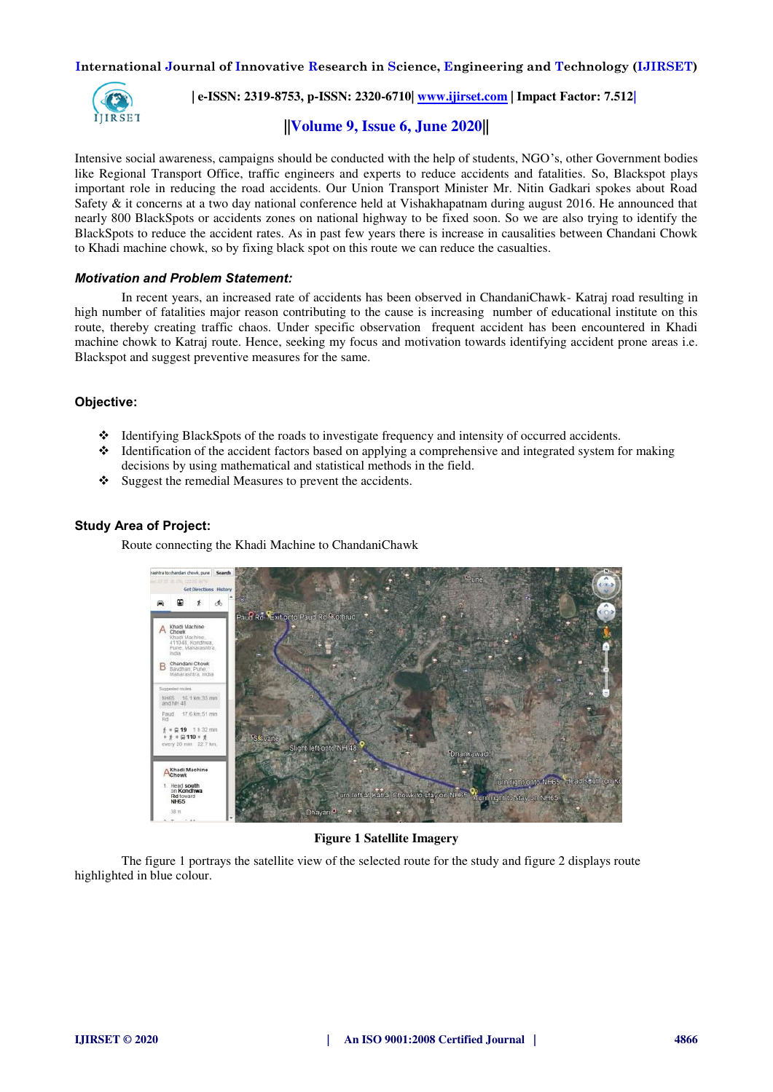

 **| e-ISSN: 2319-8753, p-ISSN: 2320-6710[| www.ijirset.com](http://www.ijirset.com/) | Impact Factor: 7.512|**

# **||Volume 9, Issue 6, June 2020||**

Intensive social awareness, campaigns should be conducted with the help of students, NGO's, other Government bodies like Regional Transport Office, traffic engineers and experts to reduce accidents and fatalities. So, Blackspot plays important role in reducing the road accidents. Our Union Transport Minister Mr. Nitin Gadkari spokes about Road Safety & it concerns at a two day national conference held at Vishakhapatnam during august 2016. He announced that nearly 800 BlackSpots or accidents zones on national highway to be fixed soon. So we are also trying to identify the BlackSpots to reduce the accident rates. As in past few years there is increase in causalities between Chandani Chowk to Khadi machine chowk, so by fixing black spot on this route we can reduce the casualties.

#### *Motivation and Problem Statement:*

 In recent years, an increased rate of accidents has been observed in ChandaniChawk- Katraj road resulting in high number of fatalities major reason contributing to the cause is increasing number of educational institute on this route, thereby creating traffic chaos. Under specific observation frequent accident has been encountered in Khadi machine chowk to Katraj route. Hence, seeking my focus and motivation towards identifying accident prone areas i.e. Blackspot and suggest preventive measures for the same.

#### **Objective:**

- Identifying BlackSpots of the roads to investigate frequency and intensity of occurred accidents.
- $\cdot$  Identification of the accident factors based on applying a comprehensive and integrated system for making decisions by using mathematical and statistical methods in the field.
- Suggest the remedial Measures to prevent the accidents.

#### **Study Area of Project:**

Route connecting the Khadi Machine to ChandaniChawk



#### **Figure 1 Satellite Imagery**

 The figure 1 portrays the satellite view of the selected route for the study and figure 2 displays route highlighted in blue colour.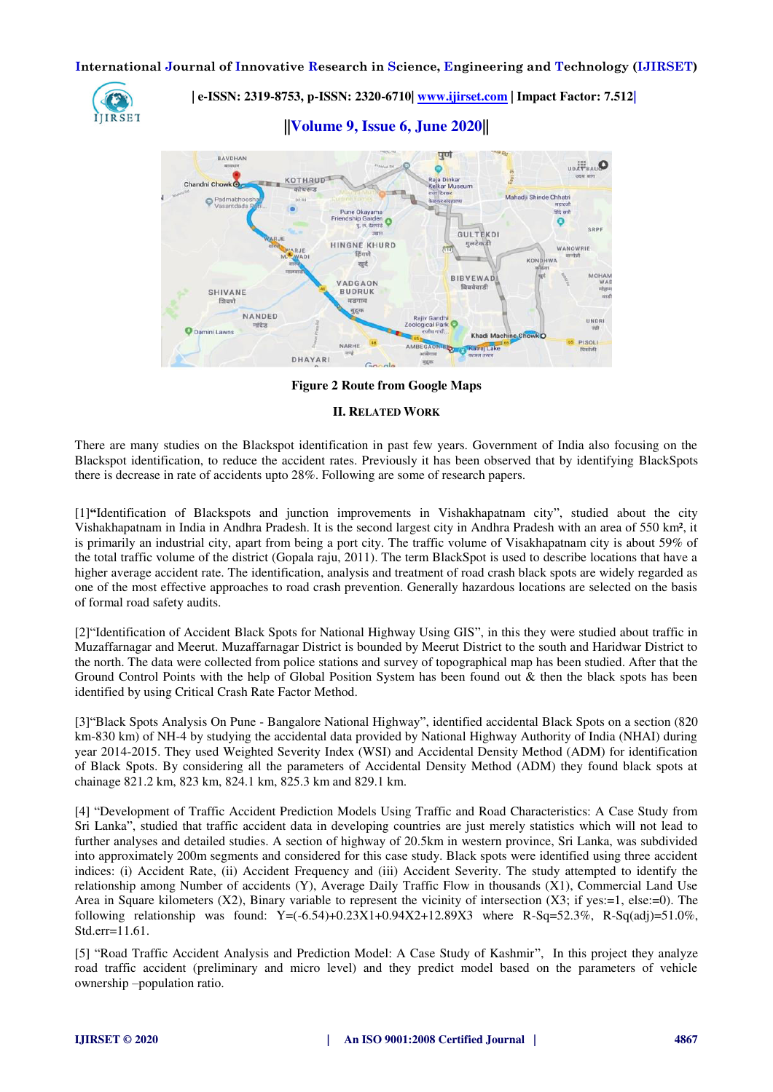

 **| e-ISSN: 2319-8753, p-ISSN: 2320-6710[| www.ijirset.com](http://www.ijirset.com/) | Impact Factor: 7.512|**

**||Volume 9, Issue 6, June 2020||** 



**Figure 2 Route from Google Maps** 

#### **II. RELATED WORK**

There are many studies on the Blackspot identification in past few years. Government of India also focusing on the Blackspot identification, to reduce the accident rates. Previously it has been observed that by identifying BlackSpots there is decrease in rate of accidents upto 28%. Following are some of research papers.

[1]**"**Identification of Blackspots and junction improvements in Vishakhapatnam city", studied about the city Vishakhapatnam in India in Andhra Pradesh. It is the second largest city in Andhra Pradesh with an area of 550 km², it is primarily an industrial city, apart from being a port city. The traffic volume of Visakhapatnam city is about 59% of the total traffic volume of the district (Gopala raju, 2011). The term BlackSpot is used to describe locations that have a higher average accident rate. The identification, analysis and treatment of road crash black spots are widely regarded as one of the most effective approaches to road crash prevention. Generally hazardous locations are selected on the basis of formal road safety audits.

[2]"Identification of Accident Black Spots for National Highway Using GIS", in this they were studied about traffic in Muzaffarnagar and Meerut. Muzaffarnagar District is bounded by Meerut District to the south and Haridwar District to the north. The data were collected from police stations and survey of topographical map has been studied. After that the Ground Control Points with the help of Global Position System has been found out & then the black spots has been identified by using Critical Crash Rate Factor Method.

[3]"Black Spots Analysis On Pune - Bangalore National Highway", identified accidental Black Spots on a section (820 km-830 km) of NH-4 by studying the accidental data provided by National Highway Authority of India (NHAI) during year 2014-2015. They used Weighted Severity Index (WSI) and Accidental Density Method (ADM) for identification of Black Spots. By considering all the parameters of Accidental Density Method (ADM) they found black spots at chainage 821.2 km, 823 km, 824.1 km, 825.3 km and 829.1 km.

[4] "Development of Traffic Accident Prediction Models Using Traffic and Road Characteristics: A Case Study from Sri Lanka", studied that traffic accident data in developing countries are just merely statistics which will not lead to further analyses and detailed studies. A section of highway of 20.5km in western province, Sri Lanka, was subdivided into approximately 200m segments and considered for this case study. Black spots were identified using three accident indices: (i) Accident Rate, (ii) Accident Frequency and (iii) Accident Severity. The study attempted to identify the relationship among Number of accidents (Y), Average Daily Traffic Flow in thousands (X1), Commercial Land Use Area in Square kilometers  $(X2)$ , Binary variable to represent the vicinity of intersection  $(X3;$  if yes:=1, else:=0). The following relationship was found:  $Y=(-6.54)+0.23X1+0.94X2+12.89X3$  where R-Sq=52.3%, R-Sq(adj)=51.0%, Std.err=11.61.

[5] "Road Traffic Accident Analysis and Prediction Model: A Case Study of Kashmir", In this project they analyze road traffic accident (preliminary and micro level) and they predict model based on the parameters of vehicle ownership –population ratio.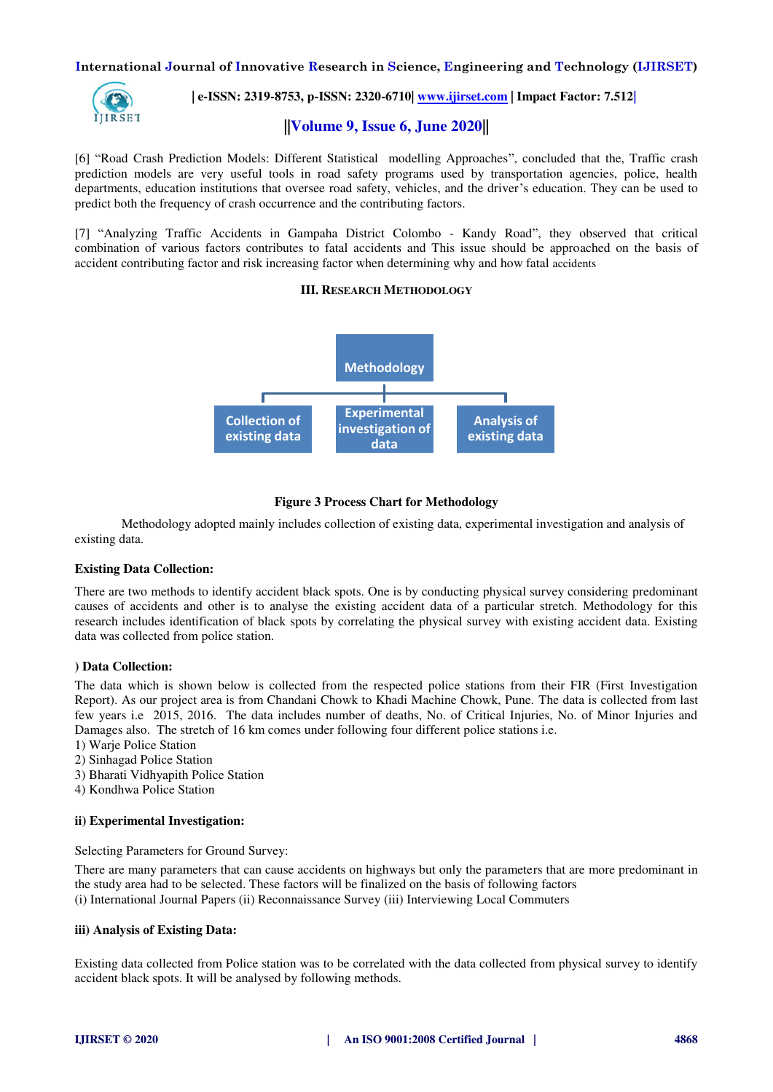

# **| e-ISSN: 2319-8753, p-ISSN: 2320-6710[| www.ijirset.com](http://www.ijirset.com/) | Impact Factor: 7.512|**

#### **||Volume 9, Issue 6, June 2020||**

[6] "Road Crash Prediction Models: Different Statistical modelling Approaches", concluded that the, Traffic crash prediction models are very useful tools in road safety programs used by transportation agencies, police, health departments, education institutions that oversee road safety, vehicles, and the driver's education. They can be used to predict both the frequency of crash occurrence and the contributing factors.

[7] "Analyzing Traffic Accidents in Gampaha District Colombo - Kandy Road", they observed that critical combination of various factors contributes to fatal accidents and This issue should be approached on the basis of accident contributing factor and risk increasing factor when determining why and how fatal accidents

#### **III. RESEARCH METHODOLOGY**



#### **Figure 3 Process Chart for Methodology**

Methodology adopted mainly includes collection of existing data, experimental investigation and analysis of existing data.

#### **Existing Data Collection:**

There are two methods to identify accident black spots. One is by conducting physical survey considering predominant causes of accidents and other is to analyse the existing accident data of a particular stretch. Methodology for this research includes identification of black spots by correlating the physical survey with existing accident data. Existing data was collected from police station.

#### **) Data Collection:**

The data which is shown below is collected from the respected police stations from their FIR (First Investigation Report). As our project area is from Chandani Chowk to Khadi Machine Chowk, Pune. The data is collected from last few years i.e 2015, 2016. The data includes number of deaths, No. of Critical Injuries, No. of Minor Injuries and Damages also. The stretch of 16 km comes under following four different police stations i.e.

- 1) Warje Police Station
- 2) Sinhagad Police Station
- 3) Bharati Vidhyapith Police Station
- 4) Kondhwa Police Station

#### **ii) Experimental Investigation:**

Selecting Parameters for Ground Survey:

There are many parameters that can cause accidents on highways but only the parameters that are more predominant in the study area had to be selected. These factors will be finalized on the basis of following factors (i) International Journal Papers (ii) Reconnaissance Survey (iii) Interviewing Local Commuters

#### **iii) Analysis of Existing Data:**

Existing data collected from Police station was to be correlated with the data collected from physical survey to identify accident black spots. It will be analysed by following methods.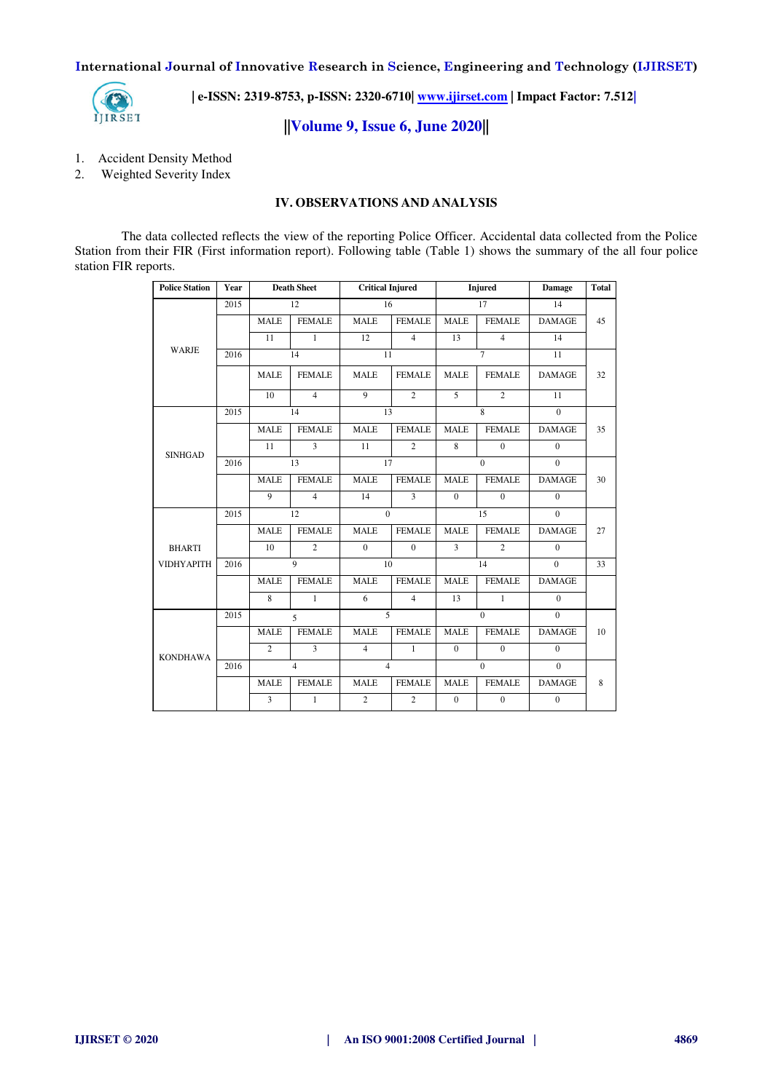

 **| e-ISSN: 2319-8753, p-ISSN: 2320-6710[| www.ijirset.com](http://www.ijirset.com/) | Impact Factor: 7.512|**

**||Volume 9, Issue 6, June 2020||** 

- 1. Accident Density Method
- 2. Weighted Severity Index

#### **IV. OBSERVATIONS AND ANALYSIS**

The data collected reflects the view of the reporting Police Officer. Accidental data collected from the Police Station from their FIR (First information report). Following table (Table 1) shows the summary of the all four police station FIR reports.

| <b>Police Station</b> | Year | <b>Death Sheet</b> |                | <b>Critical Injured</b> |                | <b>Injured</b> |                | <b>Damage</b>  | Total |
|-----------------------|------|--------------------|----------------|-------------------------|----------------|----------------|----------------|----------------|-------|
|                       | 2015 |                    | 12             | 16                      |                | 17             |                | 14             |       |
|                       |      | <b>MALE</b>        | <b>FEMALE</b>  | <b>MALE</b>             | <b>FEMALE</b>  | <b>MALE</b>    | <b>FEMALE</b>  | <b>DAMAGE</b>  | 45    |
|                       |      | 11                 | $\mathbf{1}$   | 12                      | $\overline{4}$ | 13             | $\overline{4}$ | 14             |       |
| <b>WARJE</b>          | 2016 |                    | 14             | 11                      |                | $\tau$         |                | 11             |       |
|                       |      | <b>MALE</b>        | <b>FEMALE</b>  | <b>MALE</b>             | <b>FEMALE</b>  | <b>MALE</b>    | <b>FEMALE</b>  | <b>DAMAGE</b>  | 32    |
|                       |      | 10                 | $\overline{4}$ | 9                       | $\overline{c}$ | 5              | $\overline{c}$ | 11             |       |
|                       | 2015 |                    | 14             | 13                      |                | 8              |                | $\theta$       |       |
|                       |      | <b>MALE</b>        | <b>FEMALE</b>  | <b>MALE</b>             | <b>FEMALE</b>  | <b>MALE</b>    | <b>FEMALE</b>  | <b>DAMAGE</b>  | 35    |
| <b>SINHGAD</b>        |      | 11                 | $\overline{3}$ | 11                      | $\overline{2}$ | $\overline{8}$ | $\theta$       | $\theta$       |       |
|                       | 2016 | 13                 |                | 17                      |                | $\theta$       |                | $\mathbf{0}$   |       |
|                       |      | <b>MALE</b>        | <b>FEMALE</b>  | <b>MALE</b>             | <b>FEMALE</b>  | <b>MALE</b>    | <b>FEMALE</b>  | <b>DAMAGE</b>  | 30    |
|                       |      | $\mathbf{Q}$       | $\overline{4}$ | 14                      | 3              | $\Omega$       | $\theta$       | $\theta$       |       |
|                       | 2015 | 12                 |                | $\overline{0}$          |                |                | 15             | $\overline{0}$ |       |
|                       |      | <b>MALE</b>        | <b>FEMALE</b>  | <b>MALE</b>             | <b>FEMALE</b>  | <b>MALE</b>    | <b>FEMALE</b>  | <b>DAMAGE</b>  | 27    |
| <b>BHARTI</b>         |      | 10                 | $\overline{2}$ | $\Omega$                | $\Omega$       | $\overline{3}$ | $\overline{2}$ | $\theta$       |       |
| <b>VIDHYAPITH</b>     | 2016 | 9                  |                | 10                      |                | 14             |                | $\Omega$       | 33    |
|                       |      | <b>MALE</b>        | <b>FEMALE</b>  | <b>MALE</b>             | <b>FEMALE</b>  | <b>MALE</b>    | <b>FEMALE</b>  | <b>DAMAGE</b>  |       |
|                       |      | 8                  | $\mathbf{1}$   | 6                       | $\overline{4}$ | 13             | $\mathbf{1}$   | $\mathbf{0}$   |       |
|                       | 2015 |                    | $\overline{5}$ | 5                       |                | $\Omega$       |                | $\Omega$       |       |
| <b>KONDHAWA</b>       |      | <b>MALE</b>        | <b>FEMALE</b>  | <b>MALE</b>             | <b>FEMALE</b>  | <b>MALE</b>    | <b>FEMALE</b>  | <b>DAMAGE</b>  | 10    |
|                       |      | $\overline{c}$     | $\overline{3}$ | $\overline{4}$          | $\mathbf{1}$   | $\Omega$       | $\theta$       | $\Omega$       |       |
|                       | 2016 |                    | $\overline{4}$ | $\overline{4}$          |                | $\theta$       |                | $\overline{0}$ |       |
|                       |      | <b>MALE</b>        | <b>FEMALE</b>  | <b>MALE</b>             | <b>FEMALE</b>  | <b>MALE</b>    | <b>FEMALE</b>  | <b>DAMAGE</b>  | 8     |
|                       |      | $\overline{3}$     | $\mathbf{1}$   | $\overline{2}$          | $\overline{2}$ | $\theta$       | $\theta$       | $\Omega$       |       |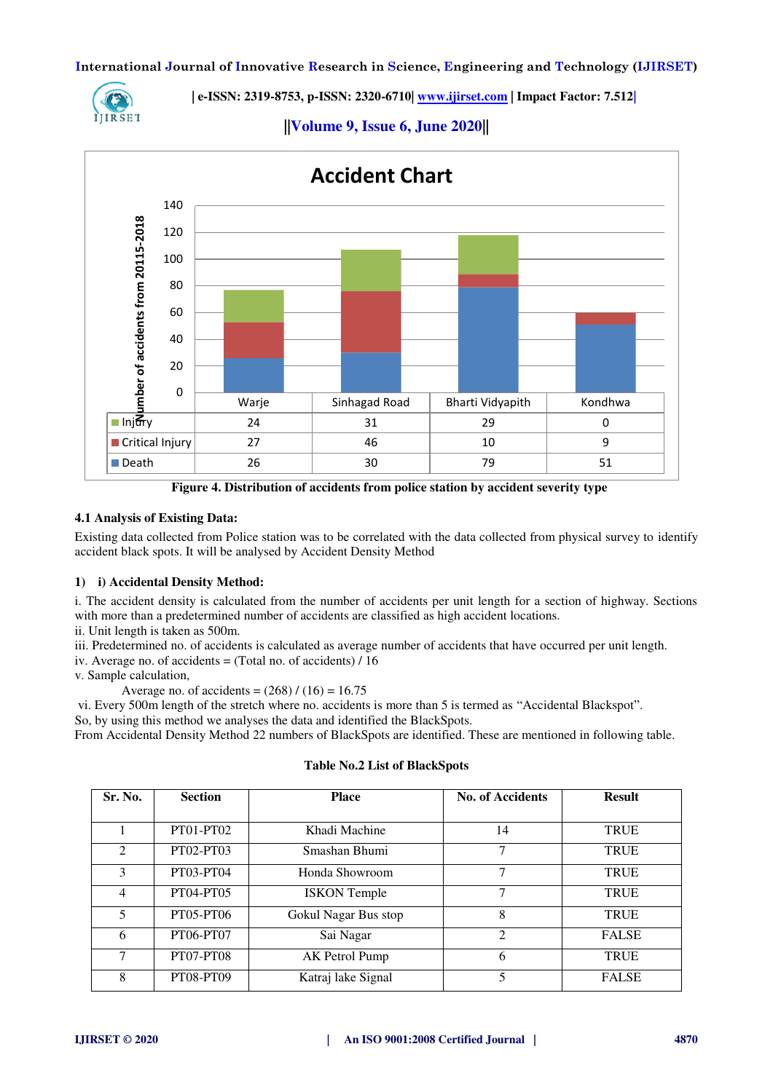

 **| e-ISSN: 2319-8753, p-ISSN: 2320-6710[| www.ijirset.com](http://www.ijirset.com/) | Impact Factor: 7.512|**



**||Volume 9, Issue 6, June 2020||** 

**Figure 4. Distribution of accidents from police station by accident severity type**

#### **4.1 Analysis of Existing Data:**

Existing data collected from Police station was to be correlated with the data collected from physical survey to identify accident black spots. It will be analysed by Accident Density Method

#### **1) i) Accidental Density Method:**

i. The accident density is calculated from the number of accidents per unit length for a section of highway. Sections with more than a predetermined number of accidents are classified as high accident locations.

ii. Unit length is taken as 500m.

iii. Predetermined no. of accidents is calculated as average number of accidents that have occurred per unit length.

iv. Average no. of accidents = (Total no. of accidents) / 16

v. Sample calculation,

Average no. of accidents =  $(268) / (16) = 16.75$ 

vi. Every 500m length of the stretch where no. accidents is more than 5 is termed as "Accidental Blackspot".

So, by using this method we analyses the data and identified the BlackSpots.

From Accidental Density Method 22 numbers of BlackSpots are identified. These are mentioned in following table.

## **Table No.2 List of BlackSpots**

| Sr. No. | <b>Section</b>   | <b>Place</b>         | <b>No. of Accidents</b> | <b>Result</b> |
|---------|------------------|----------------------|-------------------------|---------------|
|         |                  |                      |                         |               |
|         | <b>PT01-PT02</b> | Khadi Machine        | 14                      | <b>TRUE</b>   |
| 2       | <b>PT02-PT03</b> | Smashan Bhumi        | 7                       | <b>TRUE</b>   |
| 3       | PT03-PT04        | Honda Showroom       | 7                       | <b>TRUE</b>   |
| 4       | <b>PT04-PT05</b> | <b>ISKON</b> Temple  | 7                       | <b>TRUE</b>   |
| 5       | PT05-PT06        | Gokul Nagar Bus stop | 8                       | <b>TRUE</b>   |
| 6       | <b>PT06-PT07</b> | Sai Nagar            | 2                       | <b>FALSE</b>  |
| $\tau$  | <b>PT07-PT08</b> | AK Petrol Pump       | 6                       | <b>TRUE</b>   |
| 8       | <b>PT08-PT09</b> | Katraj lake Signal   | 5                       | <b>FALSE</b>  |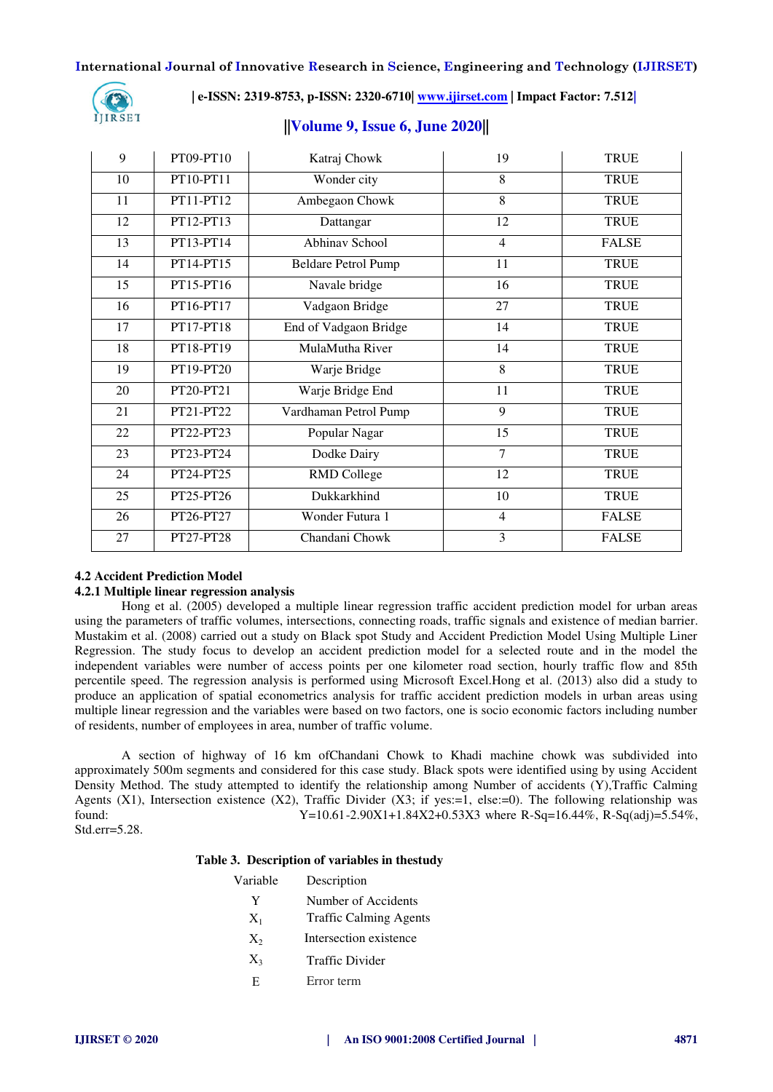

 **| e-ISSN: 2319-8753, p-ISSN: 2320-6710[| www.ijirset.com](http://www.ijirset.com/) | Impact Factor: 7.512|**

# 9 | PT09-PT10 | Katraj Chowk | 19 | TRUE 10 | PT10-PT11 | Wonder city | 8 | TRUE 11 PT11-PT12 Ambegaon Chowk 8 TRUE 12 | PT12-PT13 | Dattangar | 12 | TRUE 13 PT13-PT14 Abhinav School 4 FALSE 14 PT14-PT15 Beldare Petrol Pump 11 TRUE 15 PT15-PT16 Navale bridge 16 TRUE 16 PT16-PT17 Vadgaon Bridge 27 TRUE 17 PT17-PT18 End of Vadgaon Bridge 14 TRUE 18 PT18-PT19 MulaMutha River 14 TRUE 19 PT19-PT20 Warje Bridge 8 8 TRUE 20 PT20-PT21 Warje Bridge End 11 TRUE 21 PT21-PT22 Vardhaman Petrol Pump 9 TRUE 22 PT22-PT23 Popular Nagar 15 TRUE 23 PT23-PT24 Dodke Dairy 7 TRUE 24 PT24-PT25 RMD College 12 TRUE 25 PT25-PT26 Dukkarkhind 10 TRUE 26 PT26-PT27 Wonder Futura 1 4 FALSE 27 PT27-PT28 Chandani Chowk 3 FALSE

# **||Volume 9, Issue 6, June 2020||**

## **4.2 Accident Prediction Model**

#### **4.2.1 Multiple linear regression analysis**

Hong et al. (2005) developed a multiple linear regression traffic accident prediction model for urban areas using the parameters of traffic volumes, intersections, connecting roads, traffic signals and existence of median barrier. Mustakim et al. (2008) carried out a study on Black spot Study and Accident Prediction Model Using Multiple Liner Regression. The study focus to develop an accident prediction model for a selected route and in the model the independent variables were number of access points per one kilometer road section, hourly traffic flow and 85th percentile speed. The regression analysis is performed using Microsoft Excel.Hong et al. (2013) also did a study to produce an application of spatial econometrics analysis for traffic accident prediction models in urban areas using multiple linear regression and the variables were based on two factors, one is socio economic factors including number of residents, number of employees in area, number of traffic volume.

A section of highway of 16 km ofChandani Chowk to Khadi machine chowk was subdivided into approximately 500m segments and considered for this case study. Black spots were identified using by using Accident Density Method. The study attempted to identify the relationship among Number of accidents (Y),Traffic Calming Agents (X1), Intersection existence (X2), Traffic Divider (X3; if yes:=1, else:=0). The following relationship was found:  $Y=10.61-2.90X1+1.84X2+0.53X3$  where R-Sq=16.44%, R-Sq(adj)=5.54%, Std.err=5.28.

#### **Table 3. Description of variables in thestudy**

| Variable | Description                   |  |  |  |
|----------|-------------------------------|--|--|--|
| Y        | Number of Accidents           |  |  |  |
| $X_1$    | <b>Traffic Calming Agents</b> |  |  |  |
| $X_{2}$  | Intersection existence        |  |  |  |
| $X_3$    | Traffic Divider               |  |  |  |
| E.       | Error term                    |  |  |  |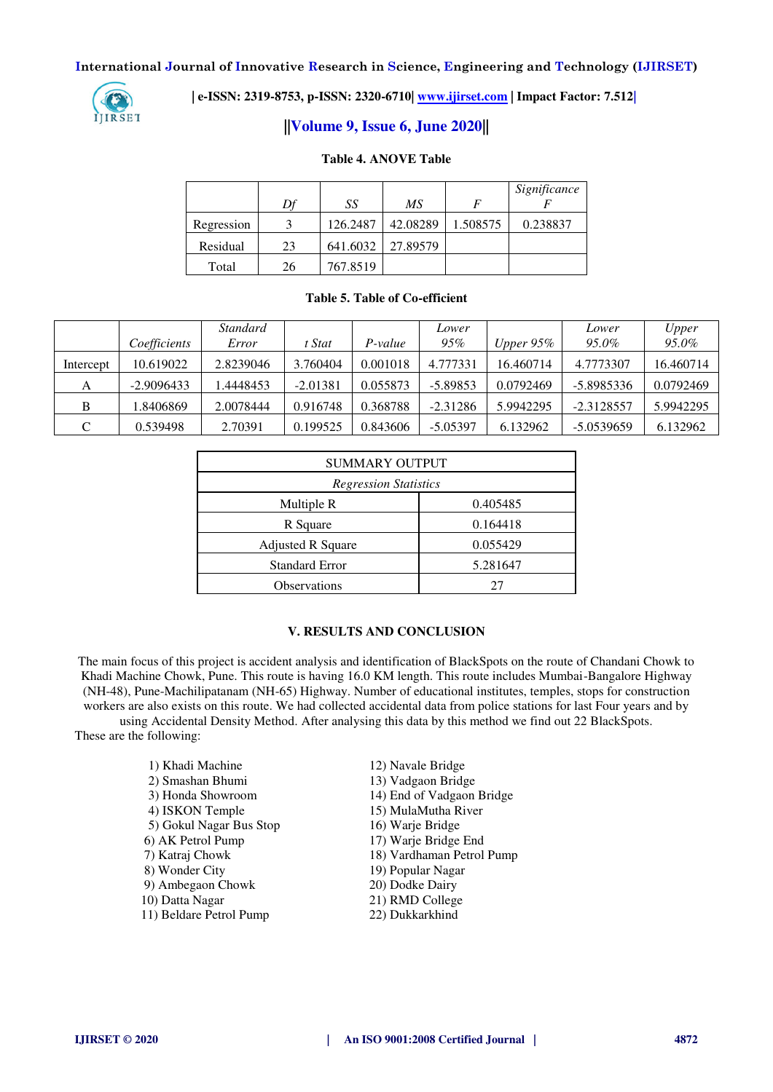

 **| e-ISSN: 2319-8753, p-ISSN: 2320-6710[| www.ijirset.com](http://www.ijirset.com/) | Impact Factor: 7.512|**

# **||Volume 9, Issue 6, June 2020||**

#### **Table 4. ANOVE Table**

|            | Df | SS       | МS       | $\boldsymbol{F}$ | Significance |
|------------|----|----------|----------|------------------|--------------|
| Regression |    | 126.2487 | 42.08289 | 1.508575         | 0.238837     |
| Residual   | 23 | 641.6032 | 27.89579 |                  |              |
| Total      | 26 | 767.8519 |          |                  |              |

#### **Table 5. Table of Co-efficient**

|           | Coefficients | <i>Standard</i><br>Error | t Stat     | P-value  | Lower<br>95% | Upper $95\%$ | Lower<br>95.0% | Upper<br>95.0% |
|-----------|--------------|--------------------------|------------|----------|--------------|--------------|----------------|----------------|
| Intercept | 10.619022    | 2.8239046                | 3.760404   | 0.001018 | 4.777331     | 16.460714    | 4.7773307      | 16.460714      |
| А         | $-2.9096433$ | .4448453                 | $-2.01381$ | 0.055873 | $-5.89853$   | 0.0792469    | -5.8985336     | 0.0792469      |
| B         | .8406869     | 2.0078444                | 0.916748   | 0.368788 | $-2.31286$   | 5.9942295    | $-2.3128557$   | 5.9942295      |
| $\cap$    | 0.539498     | 2.70391                  | 0.199525   | 0.843606 | $-5.05397$   | 6.132962     | $-5.0539659$   | 6.132962       |

| <b>SUMMARY OUTPUT</b>        |          |  |  |  |  |
|------------------------------|----------|--|--|--|--|
| <b>Regression Statistics</b> |          |  |  |  |  |
| Multiple R                   | 0.405485 |  |  |  |  |
| R Square                     | 0.164418 |  |  |  |  |
| <b>Adjusted R Square</b>     | 0.055429 |  |  |  |  |
| <b>Standard Error</b>        | 5.281647 |  |  |  |  |
| <b>Observations</b>          |          |  |  |  |  |

# **V. RESULTS AND CONCLUSION**

The main focus of this project is accident analysis and identification of BlackSpots on the route of Chandani Chowk to Khadi Machine Chowk, Pune. This route is having 16.0 KM length. This route includes Mumbai-Bangalore Highway (NH-48), Pune-Machilipatanam (NH-65) Highway. Number of educational institutes, temples, stops for construction workers are also exists on this route. We had collected accidental data from police stations for last Four years and by using Accidental Density Method. After analysing this data by this method we find out 22 BlackSpots. These are the following:

> 1) Khadi Machine 12) Navale Bridge 2) Smashan Bhumi 13) Vadgaon Bridge 3) Honda Showroom 14) End of Vadgaon Bridge 4) ISKON Temple 15) MulaMutha River 5) Gokul Nagar Bus Stop 16) Warje Bridge 6) AK Petrol Pump 17) Warje Bridge End 7) Katraj Chowk 18) Vardhaman Petrol Pump 8) Wonder City 19) Popular Nagar 9) Ambegaon Chowk 20) Dodke Dairy 10) Datta Nagar 21) RMD College<br>
> 11) Beldare Petrol Pump 22) Dukkarkhind 11) Beldare Petrol Pump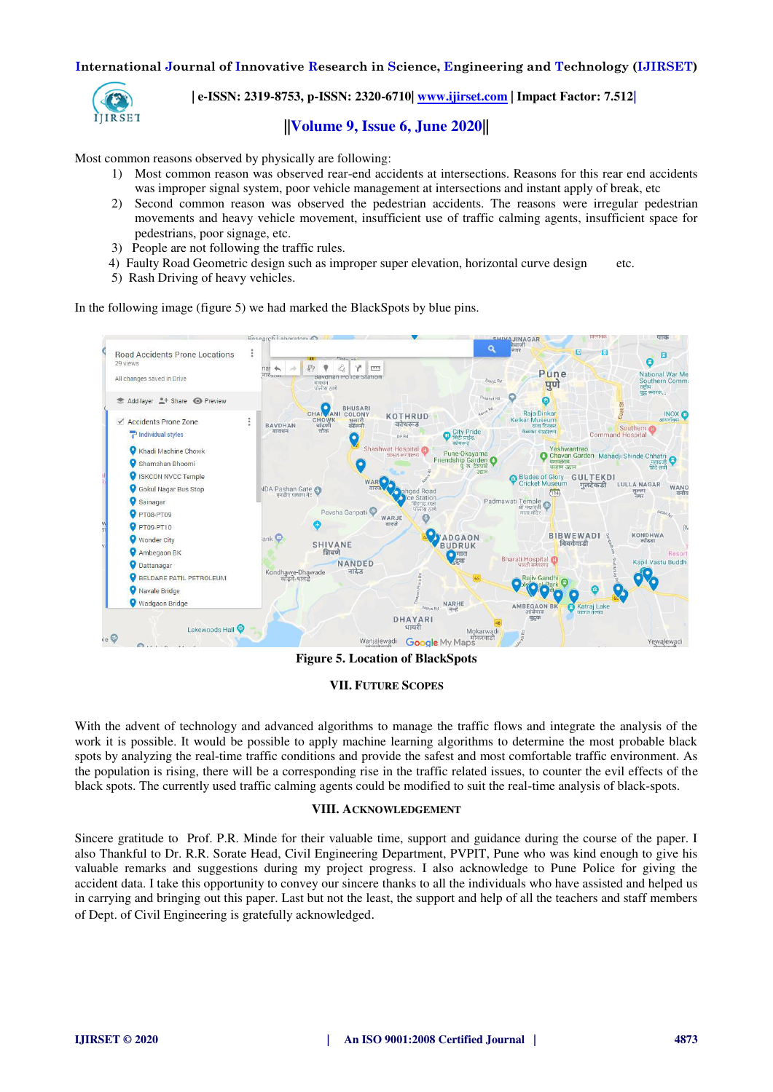

 **| e-ISSN: 2319-8753, p-ISSN: 2320-6710[| www.ijirset.com](http://www.ijirset.com/) | Impact Factor: 7.512|**

# **||Volume 9, Issue 6, June 2020||**

Most common reasons observed by physically are following:

- 1) Most common reason was observed rear-end accidents at intersections. Reasons for this rear end accidents was improper signal system, poor vehicle management at intersections and instant apply of break, etc
- 2) Second common reason was observed the pedestrian accidents. The reasons were irregular pedestrian movements and heavy vehicle movement, insufficient use of traffic calming agents, insufficient space for pedestrians, poor signage, etc.
- 3) People are not following the traffic rules.
- 4) Faulty Road Geometric design such as improper super elevation, horizontal curve design etc.
- 5) Rash Driving of heavy vehicles.

In the following image (figure 5) we had marked the BlackSpots by blue pins.



**Figure 5. Location of BlackSpots** 

#### **VII. FUTURE SCOPES**

With the advent of technology and advanced algorithms to manage the traffic flows and integrate the analysis of the work it is possible. It would be possible to apply machine learning algorithms to determine the most probable black spots by analyzing the real-time traffic conditions and provide the safest and most comfortable traffic environment. As the population is rising, there will be a corresponding rise in the traffic related issues, to counter the evil effects of the black spots. The currently used traffic calming agents could be modified to suit the real-time analysis of black-spots.

#### **VIII. ACKNOWLEDGEMENT**

Sincere gratitude to Prof. P.R. Minde for their valuable time, support and guidance during the course of the paper. I also Thankful to Dr. R.R. Sorate Head, Civil Engineering Department, PVPIT, Pune who was kind enough to give his valuable remarks and suggestions during my project progress. I also acknowledge to Pune Police for giving the accident data. I take this opportunity to convey our sincere thanks to all the individuals who have assisted and helped us in carrying and bringing out this paper. Last but not the least, the support and help of all the teachers and staff members of Dept. of Civil Engineering is gratefully acknowledged.